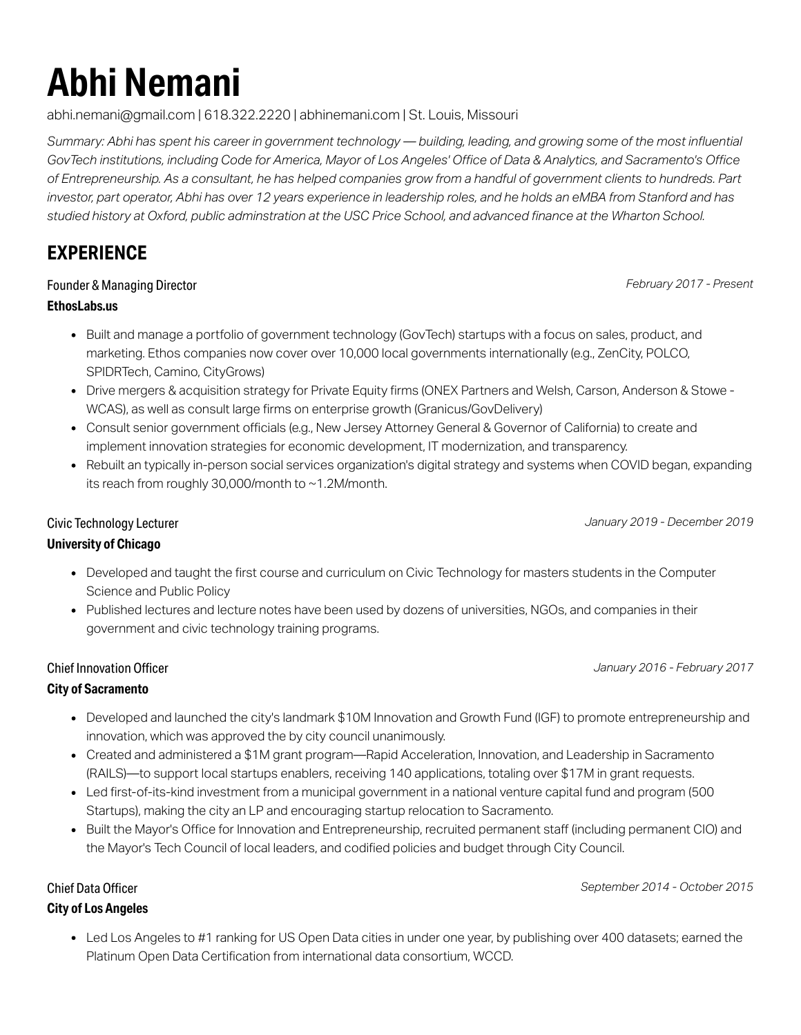# **Abhi Nemani**

[abhi.nemani@gmail.com](mailto:abhi.nemani@gmail.com) | 618.322.2220 | [abhinemani.com](http://abhinemani.com/) | St. Louis, Missouri

Summary: Abhi has spent his career in government technology — building, leading, and growing some of the most influential GovTech institutions, including Code for America, Mayor of Los Angeles' Office of Data & Analytics, and Sacramento's Office of Entrepreneurship. As a consultant, he has helped companies grow from a handful of government clients to hundreds. Part investor, part operator, Abhi has over 12 years experience in leadership roles, and he holds an eMBA from Stanford and has studied history at Oxford, public adminstration at the USC Price School, and advanced finance at the Wharton School.

## **EXPERIENCE**

#### Founder & Managing Director

*February 2017 - Present*

#### **EthosLabs.us**

- Built and manage a portfolio of [government](https://ethoslabs.us/startups) technology (GovTech) startups with a focus on sales, product, and marketing. Ethos companies now cover over 10,000 local governments internationally (e.g., ZenCity, POLCO, SPIDRTech, Camino, CityGrows)
- Drive mergers & acquisition strategy for Private Equity firms (ONEX Partners and Welsh, Carson, Anderson & Stowe WCAS), as well as consult large firms on enterprise growth (Granicus/GovDelivery)
- Consult senior [government](https://ethoslabs.us/governments) officials (e.g., New Jersey Attorney General & Governor of California) to create and implement innovation strategies for economic development, IT modernization, and transparency.
- Rebuilt an typically in-person social services organization's digital strategy and systems when COVID began, expanding its reach from roughly 30,000/month to ~1.2M/month.

*January 2019 - December 2019*

#### Civic Technology Lecturer

#### **University of Chicago**

- [Developed](https://abhinemani.com/civictechcourse/lectures) and taught the first course and curriculum on Civic Technology for masters students in the Computer Science and Public Policy
- Published lectures and lecture notes have been used by dozens of universities, NGOs, and companies in their government and civic technology training programs.

#### Chief Innovation Officer

*January 2016 - February 2017*

#### **City of Sacramento**

- Developed and launched the city's landmark \$10M [Innovation](https://www.comstocksmag.com/web-only/can-sacramento-become-capital-entrepreneurship) and Growth Fund (IGF) to promote entrepreneurship and innovation, which was approved the by city council unanimously.
- Created and administered a \$1M grant [program—Rapid](http://abhinemani.com/RAILS/) Acceleration, Innovation, and Leadership in Sacramento (RAILS)—to support local startups enablers, receiving 140 applications, totaling over \$17M in grant requests.
- Led first-of-its-kind investment from a municipal government in a national venture capital fund and program (500 Startups), making the city an LP and encouraging startup relocation to Sacramento.
- Built the Mayor's Office for Innovation and Entrepreneurship, recruited permanent staff (including permanent CIO) and the Mayor's Tech Council of local leaders, and codified policies and budget through City Council.

*September 2014 - October 2015*

#### Chief Data Officer **City of Los Angeles**

Led Los Angeles to #1 ranking for US Open Data cities in under one year, by [publishing](http://data.lacity.org/) over 400 datasets; earned the Platinum Open Data [Certification](http://open.dataforcities.org/) from international data consortium, WCCD.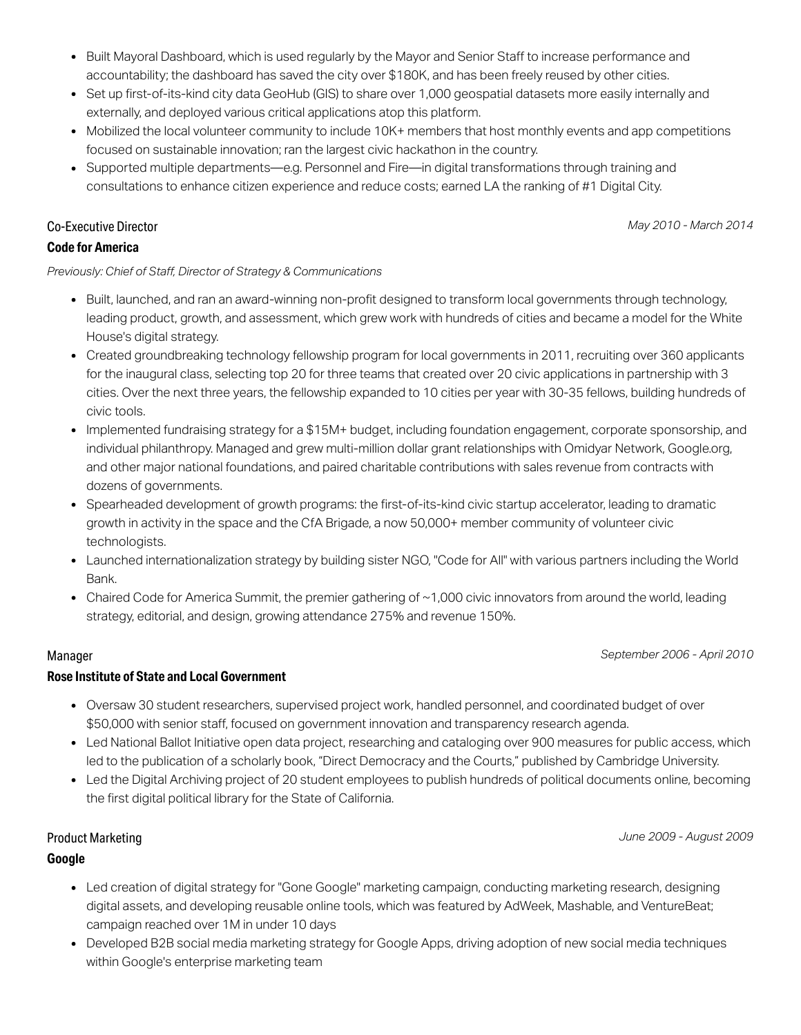- Built Mayoral [Dashboard](http://lamayor.org/dashboard), which is used regularly by the Mayor and Senior Staff to increase performance and accountability; the dashboard has saved the city over \$180K, and has been freely reused by other cities.
- Set up first-of-its-kind city data [GeoHub](http://geohub.lacity.org/) (GIS) to share over 1,000 geospatial datasets more easily internally and externally, and deployed various critical applications atop this platform.
- Mobilized the local volunteer community to include 10K+ members that host monthly events and app competitions focused on sustainable innovation; ran the largest civic hackathon in the country.
- Supported multiple departments—e.g. Personnel and Fire—in digital transformations through training and consultations to enhance citizen experience and reduce costs; earned LA the ranking of #1 Digital City.

#### Co-Executive Director

#### **Code for America**

#### *Previously: Chief of Staff, Director of Strategy & Communications*

- Built, launched, and ran an award-winning [non-profit](https://codeforamerica.org/) designed to transform local governments through technology, leading product, growth, and assessment, which grew work with hundreds of cities and became a model for the White House's digital strategy.
- Created groundbreaking technology fellowship program for local governments in 2011, recruiting over 360 applicants for the inaugural class, selecting top 20 for three teams that created over 20 civic applications in partnership with 3 cities. Over the next three years, the fellowship expanded to 10 cities per year with 30-35 fellows, building hundreds of civic tools.
- Implemented fundraising strategy for a \$15M+ budget, including foundation engagement, corporate sponsorship, and individual philanthropy. Managed and grew multi-million dollar grant relationships with Omidyar Network, Google.org, and other major national foundations, and paired charitable contributions with sales revenue from contracts with dozens of governments.
- Spearheaded development o[f](http://abhinemani.com/press/big-startup-wave/) growth programs: the f[irst-of-its-kind](http://www.huffingtonpost.com/abhi-nemani/accelerating-san-francisc_b_1191477.html) civic startup accelerator, leading to dramatic growth in activity in the space and the CfA Brigade, a now 50,000+ member community of volunteer civic technologists.
- Launched internationalization strategy by building sister NGO, "Code for All" with various partners including the World Bank.
- Chaired Code for [America](https://www.codeforamerica.org/summit/) Summit, the premier gathering of ~1,000 civic innovators from around the world, leading strategy, editorial, and design, growing attendance 275% and revenue 150%.

#### Manager

#### **Rose Institute of State and Local Government**

- Oversaw 30 student researchers, supervised project work, handled personnel, and coordinated budget of over \$50,000 with senior staff, focused on government innovation and transparency research agenda.
- Led National Ballot Initiative open data project, researching and cataloging over 900 measures for public access, which led to the publication of a scholarly book, "Direct Democracy and the Courts," published by Cambridge University.
- Led the Digital Archiving project of 20 student employees to publish hundreds of political documents online, becoming the first digital political library for the State of California.

#### Product Marketing

#### **Google**

- Led creation of digital strategy for "Gone Google" marketing campaign, conducting marketing research, designing digital assets, and developing reusable online tools, which was featured by AdWeek, Mashable, and VentureBeat; campaign reached over 1M in under 10 days
- Developed B2B social media marketing strategy for Google Apps, driving adoption of new social media techniques within Google's enterprise marketing team

#### *May 2010 - March 2014*

#### *September 2006 - April 2010*

*June 2009 - August 2009*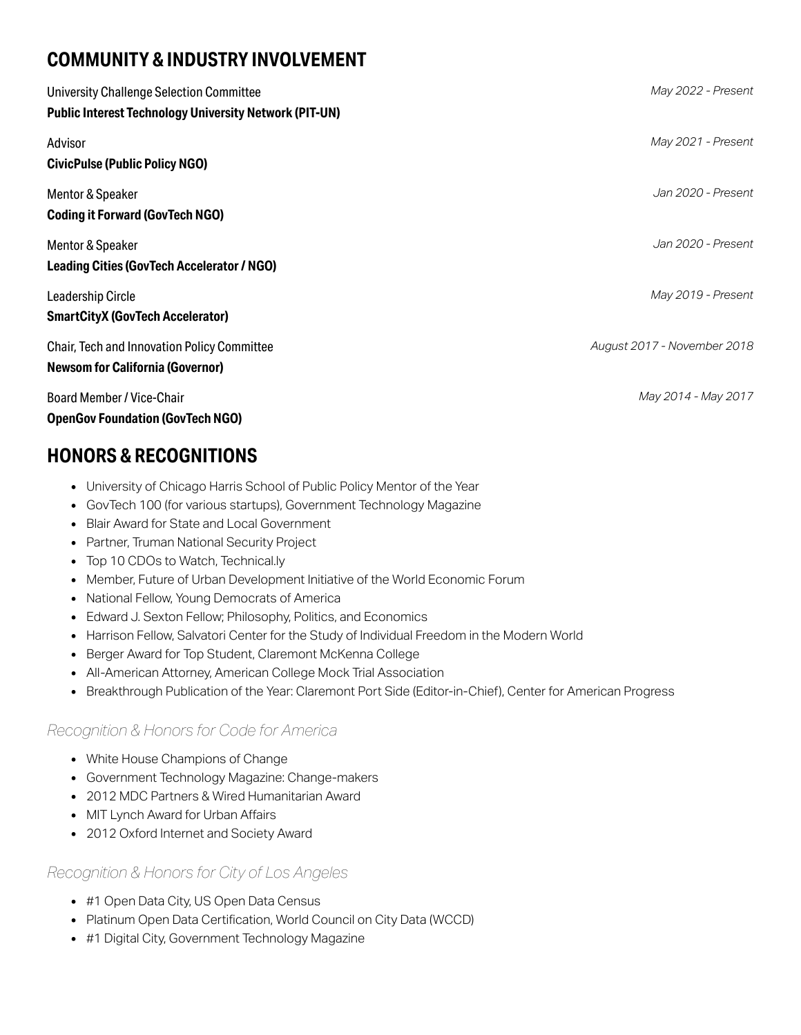# **COMMUNITY & INDUSTRY INVOLVEMENT**

| University Challenge Selection Committee<br><b>Public Interest Technology University Network (PIT-UN)</b> | May 2022 - Present          |
|-----------------------------------------------------------------------------------------------------------|-----------------------------|
| Advisor<br><b>CivicPulse (Public Policy NGO)</b>                                                          | May 2021 - Present          |
| Mentor & Speaker<br><b>Coding it Forward (GovTech NGO)</b>                                                | Jan 2020 - Present          |
| Mentor & Speaker<br><b>Leading Cities (GovTech Accelerator / NGO)</b>                                     | Jan 2020 - Present          |
| <b>Leadership Circle</b><br><b>SmartCityX (GovTech Accelerator)</b>                                       | May 2019 - Present          |
| <b>Chair, Tech and Innovation Policy Committee</b><br><b>Newsom for California (Governor)</b>             | August 2017 - November 2018 |
| <b>Board Member / Vice-Chair</b><br><b>OpenGov Foundation (GovTech NGO)</b>                               | May 2014 - May 2017         |

## **HONORS & RECOGNITIONS**

- University of Chicago Harris School of Public Policy Mentor of the Year
- GovTech 100 (for various startups), Government Technology Magazine
- Blair Award for State and Local Government
- Partner, Truman National Security Project
- Top 10 CDOs to Watch, Technical.ly
- Member, Future of Urban Development Initiative of the World Economic Forum
- National Fellow, Young Democrats of America
- Edward J. Sexton Fellow; Philosophy, Politics, and Economics
- Harrison Fellow, Salvatori Center for the Study of Individual Freedom in the Modern World
- Berger Award for Top Student, Claremont McKenna College
- All-American Attorney, American College Mock Trial Association
- Breakthrough Publication of the Year: Claremont Port Side (Editor-in-Chief), Center for American Progress

#### *Recognition & Honors for Code for America*

- White House Champions of Change
- Government Technology Magazine: Change-makers
- 2012 MDC Partners & Wired Humanitarian Award
- MIT Lynch Award for Urban Affairs
- 2012 Oxford Internet and Society Award

#### *Recognition & Honors for City of Los Angeles*

- #1 Open Data City, US Open Data Census
- Platinum Open Data Certification, World Council on City Data (WCCD)
- #1 Digital City, Government Technology Magazine